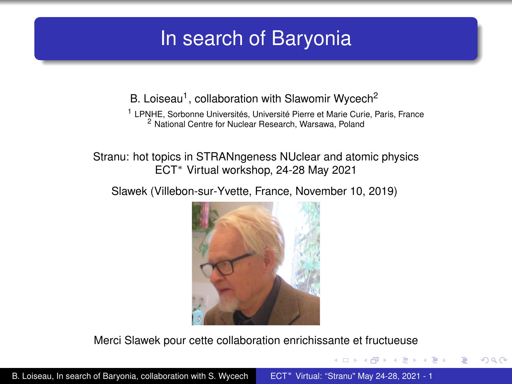# <span id="page-0-0"></span>In search of Baryonia

<span id="page-0-1"></span>B. Loiseau<sup>1</sup>, collaboration with Slawomir Wycech<sup>2</sup>

<sup>1</sup> LPNHE, Sorbonne Universités, Université Pierre et Marie Curie, Paris, France <sup>2</sup> National Centre for Nuclear Research, Warsawa, Poland

Stranu: hot topics in STRANngeness NUclear and atomic physics ECT<sup>∗</sup> Virtual workshop, 24-28 May 2021

Slawek (Villebon-sur-Yvette, France, November 10, 2019)



Merci Slawek pour cette collaboration enrichissante et fructueuse

4 0 8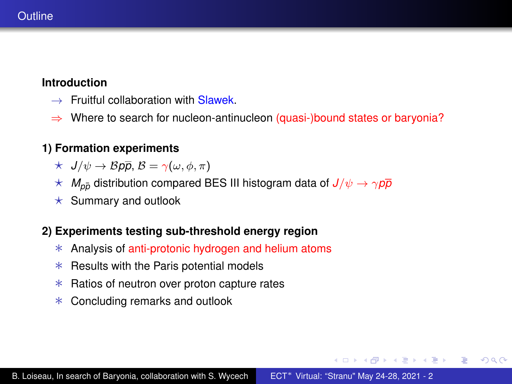#### <span id="page-1-0"></span>**Introduction**

- $\rightarrow$  Fruitful collaboration with Slawek
- $\Rightarrow$  Where to search for nucleon-antinucleon (quasi-)bound states or baryonia?

### **1) Formation experiments**

- $\star$  *J*/ $\psi \rightarrow \mathcal{B}p\overline{p}, \mathcal{B} = \gamma(\omega, \phi, \pi)$
- $\star$  *M*<sub>pp</sub><sup> $\sim$ </sup> distribution compared BES III histogram data of  $J/\psi \rightarrow \gamma \rho \bar{p}$
- $\star$  Summary and outlook

#### **2) Experiments testing sub-threshold energy region**

- ∗ Analysis of anti-protonic hydrogen and helium atoms
- ∗ Results with the Paris potential models
- ∗ Ratios of neutron over proton capture rates
- ∗ Concluding remarks and outlook

KOD KAP KED KED E YA G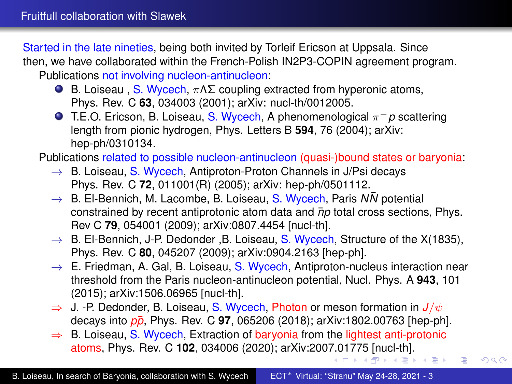<span id="page-2-0"></span>Started in the late nineties, being both invited by Torleif Ericson at Uppsala. Since then, we have collaborated within the French-Polish IN2P3-COPIN agreement program. Publications not involving nucleon-antinucleon:

- **B.** Loiseau, S. Wycech,  $πΛΣ$  coupling extracted from hyperonic atoms, Phys. Rev. C **63**, 034003 (2001); arXiv: nucl-th/0012005.
- T.E.O. Ericson, B. Loiseau, S. Wycech, A phenomenological π−*p* scattering length from pionic hydrogen, Phys. Letters B **594**, 76 (2004); arXiv: hep-ph/0310134.

Publications related to possible nucleon-antinucleon (quasi-)bound states or baryonia:

- $\rightarrow$  B. Loiseau, S. Wycech, Antiproton-Proton Channels in J/Psi decays Phys. Rev. C **72**, 011001(R) (2005); arXiv: hep-ph/0501112.
- $\rightarrow$  B. El-Bennich, M. Lacombe, B. Loiseau, S. Wycech, Paris *NN* potential constrained by recent antiprotonic atom data and  $\bar{p}p$  total cross sections, Phys. Rev C **79**, 054001 (2009); arXiv:0807.4454 [nucl-th].
- $\rightarrow$  B. El-Bennich, J-P. Dedonder , B. Loiseau, S. Wycech, Structure of the X(1835), Phys. Rev. C **80**, 045207 (2009); arXiv:0904.2163 [hep-ph].
- $\rightarrow$  E. Friedman, A. Gal, B. Loiseau, S. Wycech, Antiproton-nucleus interaction near threshold from the Paris nucleon-antinucleon potential, Nucl. Phys. A **943**, 101 (2015); arXiv:1506.06965 [nucl-th].
- $\Rightarrow$  J. -P. Dedonder, B. Loiseau, S. Wycech, Photon or meson formation in  $J/\psi$ decays into  $p\bar{p}$ , Phys. Rev. C 97, 065206 (2018); arXiv:1802.00763 [hep-ph].
- ⇒ B. Loiseau, S. Wycech, Extraction of baryonia from the lightest anti-protonic atoms, Phys. Rev. C **102**, 034006 (2020); arXiv:200[7.0](#page-1-0)[177](#page-3-0)[5](#page-1-0) [\[n](#page-2-0)[u](#page-3-0)[cl-t](#page-0-0)[h\].](#page-0-1)

 $290$ 

È.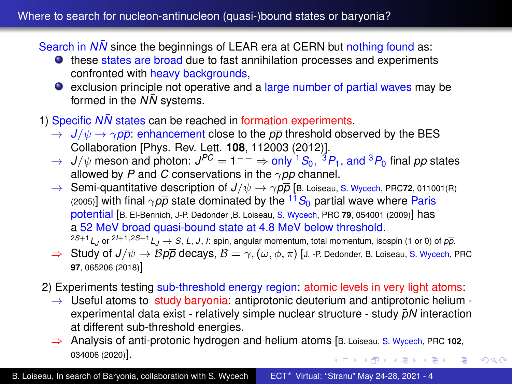<span id="page-3-0"></span>Search in *NN* since the beginnings of LEAR era at CERN but nothing found as:

- these states are broad due to fast annihilation processes and experiments confronted with heavy backgrounds,
- **exclusion principle not operative and a large number of partial waves may be** formed in the  $N\bar{N}$  systems.
- 1) Specific *NN* states can be reached in formation experiments.
	- $\rightarrow$  *J/* $\psi \rightarrow \gamma p\bar{p}$ *:* enhancement close to the  $p\bar{p}$  threshold observed by the BES Collaboration [Phys. Rev. Lett. **108**, 112003 (2012)].
	- $\rightarrow$  *J/* $\psi$  meson and photon:  $J^{PC} = 1^{--} \Rightarrow$  only  $^1S_0$ ,  $^3P_1$ , and  $^3P_0$  final  $\rho\overline{\rho}$  states allowed by *P* and *C* conservations in the  $\gamma p \bar{p}$  channel.
	- $\rightarrow$  Semi-quantitative description of  $J/\psi \rightarrow \gamma p\bar{p}$  [B. Loiseau, S. Wycech, PRC72, 011001(R) (2005)] with final  $\gamma p\bar{p}$  state dominated by the <sup>11</sup> S<sub>0</sub> partial wave where Paris potential [B. El-Bennich, J-P. Dedonder ,B. Loiseau, S. Wycech, PRC **79**, 054001 (2009)] has a 52 MeV broad quasi-bound state at 4.8 MeV below threshold.  $^{2S+1}$ L<sub>J</sub> or  $^{2l+1,2S+1}$ L<sub>J</sub>  $\rightarrow$  *S*, L, J, I: spin, angular momentum, total momentum, isospin (1 or 0) of  $p\overline{p}$ .
	- $\Rightarrow$  Study of  $J/\psi \rightarrow B \rho \overline{\rho}$  decays,  $B = \gamma$ ,  $(\omega, \phi, \pi)$  [J. -P. Dedonder, B. Loiseau, S. Wycech, PRC **97**, 065206 (2018)]
- 2) Experiments testing sub-threshold energy region: atomic levels in very light atoms:
	- $\rightarrow$  Useful atoms to study baryonia: antiprotonic deuterium and antiprotonic helium experimental data exist - relatively simple nuclear structure - study  $\bar{p}N$  interaction at different sub-threshold energies.
	- ⇒ Analysis of anti-protonic hydrogen and helium atoms [B. Loiseau, S. Wycech, PRC **102**, 034006 (2020)]. イロト 不優 トメ ミトメ ミトリーミー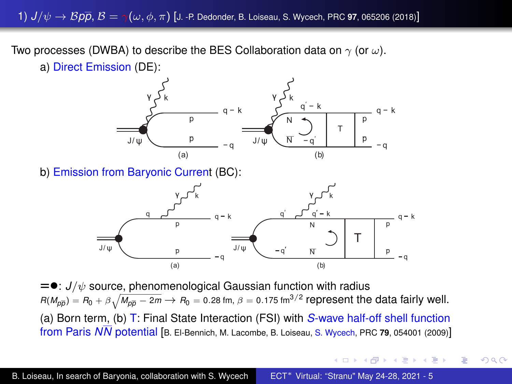1)  $J/\psi \to Bp\overline{p}$ ,  $B = \gamma(\omega, \phi, \pi)$  [J. -P. Dedonder, B. Loiseau, S. Wycech, PRC 97, 065206 (2018)]

Two processes (DWBA) to describe the BES Collaboration data on  $\gamma$  (or  $\omega$ ).





b) Emission from Baryonic Current (BC):



 $=$ •:  $J/\psi$  source, phenomenological Gaussian function with radius  $R(M_{\rho\overline{\rho}}) = R_0 + \beta \sqrt{M_{\rho\overline{\rho}} - 2m} \rightarrow R_0 =$  0.28 fm,  $\beta =$  0.175 fm<sup>3/2</sup> represent the data fairly well. (a) Born term, (b) T: Final State Interaction (FSI) with *S*-wave half-off shell function from Paris *NN* potential [B. El-Bennich, M. Lacombe, B. Loiseau, S. Wycech, PRC **79**, 054001 (2009)]

4 ロ ) (何 ) (日 ) (日 )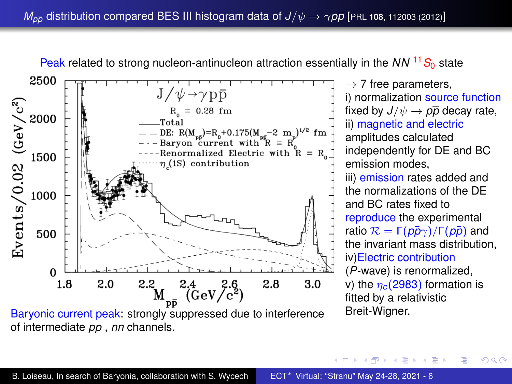<span id="page-5-0"></span>

Baryonic current peak: strongly suppressed due to interference of intermediate *pp* , *nn* channels.

 $\rightarrow$  7 free parameters, i) normalization source function fixed by  $J/\psi \rightarrow p\overline{p}$  decay rate, ii) magnetic and electric amplitudes calculated independently for DE and BC emission modes, iii) emission rates added and the normalizations of the DE and BC rates fixed to reproduce the experimental ratio  $\mathcal{R} = \Gamma(p\bar{p}\gamma)/\Gamma(p\bar{p})$  and the invariant mass distribution, iv)Electric contribution (*P*-wave) is renormalized, v) the  $\eta_c(2983)$  formation is fitted by a relativistic Breit-Wigner.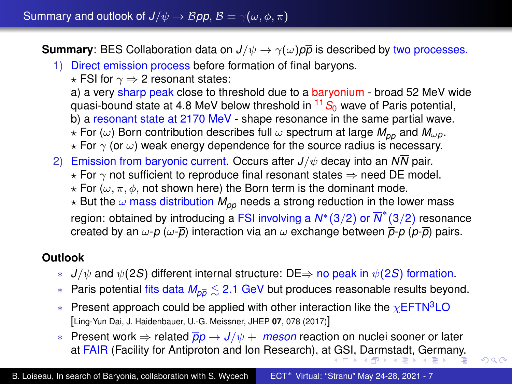<span id="page-6-0"></span>**Summary:** BES Collaboration data on  $J/\psi \rightarrow \gamma(\omega)p\bar{p}$  is described by two processes.

# 1) Direct emission process before formation of final baryons.

 $\star$  FSI for  $\gamma \Rightarrow$  2 resonant states:

a) a very sharp peak close to threshold due to a baryonium - broad 52 MeV wide quasi-bound state at 4.8 MeV below threshold in  $11S<sub>0</sub>$  wave of Paris potential,

- b) a resonant state at 2170 MeV shape resonance in the same partial wave.
- $\star$  For ( $\omega$ ) Born contribution describes full  $\omega$  spectrum at large  $M_{\alpha\overline{p}}$  and  $M_{\omega}$ *p*.
- $\star$  For  $\gamma$  (or  $\omega$ ) weak energy dependence for the source radius is necessary.
- 2) Emission from baryonic current. Occurs after *J*/ψ decay into an *NN* pair.
	- $\star$  For  $\gamma$  not sufficient to reproduce final resonant states  $\Rightarrow$  need DE model.
	- $\star$  For ( $\omega, \pi, \phi$ , not shown here) the Born term is the dominant mode.
	- $\star$  But the  $\omega$  mass distribution  $M_{p\bar{p}}$  needs a strong reduction in the lower mass region: obtained by introducing a FSI involving a *N*∗(3/2) or *N* ∗ (3/2) resonance created by an  $\omega$ - $p$  ( $\omega$ - $\bar{p}$ ) interaction via an  $\omega$  exchange between  $\bar{p}$ - $p$  ( $p$ - $\bar{p}$ ) pairs.

## **Outlook**

- $J/\psi$  and  $\psi(2S)$  different internal structure: DE $\Rightarrow$  no peak in  $\psi(2S)$  formation.
- ∗ Paris potential fits data *Mpp* . 2.1 GeV but produces reasonable results beyond.
- $*$  Present approach could be applied with other interaction like the  $\chi$ EFTN<sup>3</sup>LO [Ling-Yun Dai, J. Haidenbauer, U.-G. Meissner, JHEP **07**, 078 (2017)]
- ∗ Present work ⇒ related *pp* → *J*/ψ + *meson* reaction on nuclei sooner or later at FAIR (Facility for Antiproton and Ion Research), a[t G](#page-5-0)[SI,](#page-7-0) [D](#page-5-0)[ar](#page-6-0)[m](#page-7-0)[sta](#page-0-0)[dt,](#page-0-1) [Ge](#page-0-0)[rm](#page-0-1)[any](#page-0-0)[.](#page-0-1)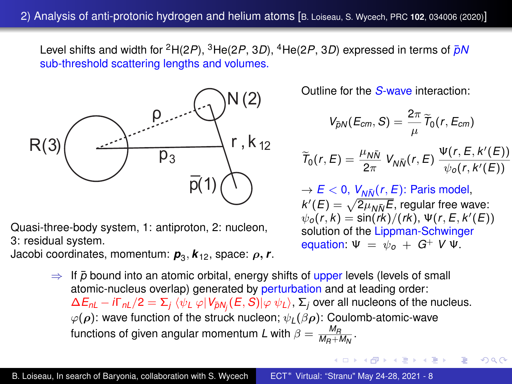<span id="page-7-0"></span>Level shifts and width for <sup>2</sup>H(2*P*), <sup>3</sup>He(2*P*, 3*D*), <sup>4</sup>He(2*P*, 3*D*) expressed in terms of *pN*¯ sub-threshold scattering lengths and volumes.



Quasi-three-body system, 1: antiproton, 2: nucleon, 3: residual system.

Jacobi coordinates, momentum: *p*<sup>3</sup> , *k*12, space: ρ, *r*.

Outline for the *S*-wave interaction:

$$
V_{\bar{p}N}(E_{cm},S)=\frac{2\pi}{\mu}\widetilde{T}_0(r,E_{cm})
$$

$$
\widetilde{T}_0(r,E) = \frac{\mu_{N\bar{N}}}{2\pi} V_{N\bar{N}}(r,E) \frac{\Psi(r,E,k'(E))}{\psi_0(r,k'(E))}
$$

 $\rightarrow$  *E* < 0,  $V_{N\bar{N}}(r, E)$ : Paris model,  $k'(E) = \sqrt{2\mu_{N}E}$ , regular free wave:  $\psi_o(r, k) = \sin(rk)/(rk), \Psi(r, E, k'(E))$ solution of the Lippman-Schwinger equation:  $\Psi = \psi_0 + G^+ V \Psi$ .

**K ロ ト K 何 ト K ヨ ト K ヨ ト** 

ă.

 $2Q$ 

 $\Rightarrow$  If  $\bar{p}$  bound into an atomic orbital, energy shifts of upper levels (levels of small atomic-nucleus overlap) generated by perturbation and at leading order:  $\Delta E_{nL}-i\Gamma_{nL}/2=\Sigma_j\ \langle \psi_L\ \varphi|V_{\bar{p}N_j}(E,S)|\varphi\ \psi_L\rangle,$   $\Sigma_j$  over all nucleons of the nucleus.  $\varphi(\rho)$ : wave function of the struck nucleon;  $\psi_L(\beta \rho)$ : Coulomb-atomic-wave functions of given angular momentum L with  $\beta = \frac{M_R}{M_R + M_N}$ .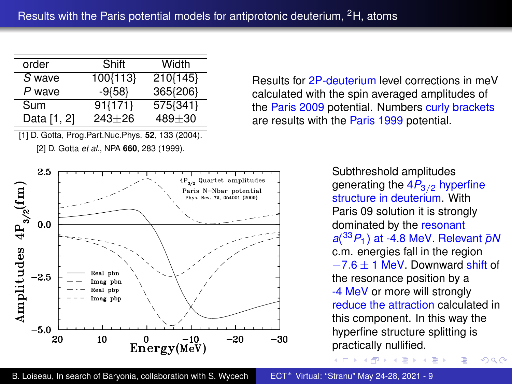| order       | Shift       | Width      |
|-------------|-------------|------------|
| S wave      | 100{113}    | 210{145}   |
| P wave      | $-9{58}$    | 365{206}   |
| Sum         | $91\{171\}$ | 575{341}   |
| Data [1, 2] | $243 + 26$  | $489 + 30$ |
|             |             |            |

[1] D. Gotta, Prog.Part.Nuc.Phys. **52**, 133 (2004). [2] D. Gotta *et al.*, NPA **660**, 283 (1999).



Results for 2P-deuterium level corrections in meV calculated with the spin averaged amplitudes of the Paris 2009 potential. Numbers curly brackets are results with the Paris 1999 potential.

> Subthreshold amplitudes generating the  $4P_{3/2}$  hyperfine structure in deuterium. With Paris 09 solution it is strongly dominated by the resonant *a*( <sup>33</sup>*P*1) at -4.8 MeV. Relevant *pN*¯ c.m. energies fall in the region −7.6 ± 1 MeV. Downward shift of the resonance position by a -4 MeV or more will strongly reduce the attraction calculated in this component. In this way the hyperfine structure splitting is practically nullified.

> > $290$

**≮ロト ⊀ 何 ト ⊀ ヨ ト ⊀ ヨ ト**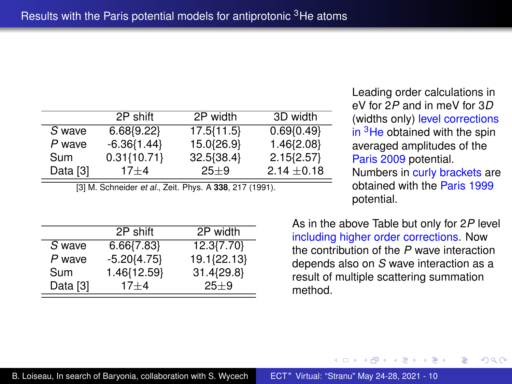|          | 2P shift        | 2P width   | 3D width       |
|----------|-----------------|------------|----------------|
| S wave   | 6.68(9.22)      | 17.5{11.5} | 0.69(0.49)     |
| P wave   | $-6.36{1.44}$   | 15.0{26.9} | 1.46{2.08}     |
| Sum      | $0.31\{10.71\}$ | 32.5{38.4} | $2.15\{2.57\}$ |
| Data [3] | $17 + 4$        | $25 + 9$   | $2.14 + 0.18$  |

[3] M. Schneider *et al.*, Zeit. Phys. A **338**, 217 (1991).

Leading order calculations in eV for 2*P* and in meV for 3*D* (widths only) level corrections in <sup>3</sup>He obtained with the spin averaged amplitudes of the Paris 2009 potential.

Numbers in curly brackets are obtained with the Paris 1999 potential.

|          | 2P shift       | 2P width    |
|----------|----------------|-------------|
| S wave   | $6.66\{7.83\}$ | 12.3{7.70}  |
| P wave   | $-5.20{4.75}$  | 19.1{22.13} |
| Sum      | 1.46{12.59}    | 31.4{29.8}  |
| Data [3] | $17 + 4$       | $25+9$      |

As in the above Table but only for 2*P* level including higher order corrections. Now the contribution of the *P* wave interaction depends also on *S* wave interaction as a result of multiple scattering summation method.

 $\left\{ \bigoplus_k k \right\} \in \mathbb{R}$  is a defined of

4 0 8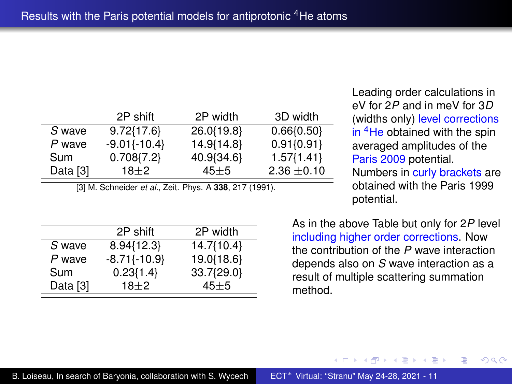|          | 2P shift         | 2P width   | 3D width       |
|----------|------------------|------------|----------------|
| S wave   | $9.72{17.6}$     | 26.0{19.8} | 0.66(0.50)     |
| P wave   | $-9.01\{-10.4\}$ | 14.9{14.8} | $0.91\{0.91\}$ |
| Sum      | $0.708\{7.2\}$   | 40.9{34.6} | $1.57\{1.41\}$ |
| Data [3] | $18 + 2$         | $45 + 5$   | $2.36 + 0.10$  |

[3] M. Schneider *et al.*, Zeit. Phys. A **338**, 217 (1991).

Leading order calculations in eV for 2*P* and in meV for 3*D* (widths only) level corrections in <sup>4</sup>He obtained with the spin averaged amplitudes of the Paris 2009 potential.

Numbers in curly brackets are obtained with the Paris 1999 potential.

|          | 2P shift       | 2P width   |
|----------|----------------|------------|
| S wave   | 8.94{12.3}     | 14.7{10.4} |
| P wave   | $-8.71(-10.9)$ | 19.0{18.6} |
| Sum      | $0.23{1.4}$    | 33.7{29.0} |
| Data [3] | $18\pm2$       | $45 + 5$   |

As in the above Table but only for 2*P* level including higher order corrections. Now the contribution of the *P* wave interaction depends also on *S* wave interaction as a result of multiple scattering summation method.

 $\left\{ \bigoplus_k k \right\} \in \mathbb{R}$  is a defined of

4 0 8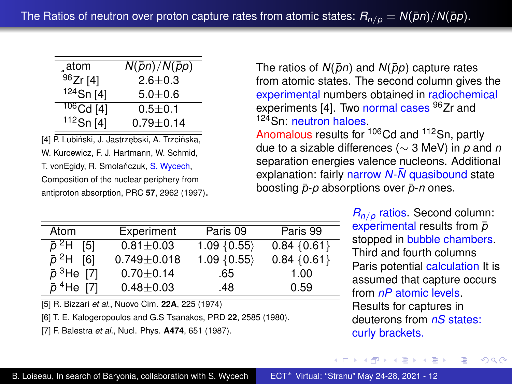<span id="page-11-0"></span>

| atom         | $N(\bar{p}n)/N(\bar{p}p)$ |
|--------------|---------------------------|
| 96Zr[4]      | $2.6 + 0.3$               |
| $124$ Sn [4] | $5.0 + 0.6$               |
| $106$ Cd [4] | $0.5 + 0.1$               |
| $112$ Sn [4] | $0.79 + 0.14$             |

[4] P. Lubiński, J. Jastrzebski, A. Trzcińska,

W. Kurcewicz, F. J. Hartmann, W. Schmid,

T. vonEgidy, R. Smolańczuk, S. Wycech, Composition of the nuclear periphery from antiproton absorption, PRC **57**, 2962 (1997). The ratios of  $N(\bar{p}n)$  and  $N(\bar{p}p)$  capture rates from atomic states. The second column gives the experimental numbers obtained in radiochemical experiments [4]. Two normal cases <sup>96</sup>Zr and 124 Sn: neutron haloes.

Anomalous results for <sup>106</sup>Cd and <sup>112</sup>Sn, partly due to a sizable differences (∼ 3 MeV) in *p* and *n* separation energies valence nucleons. Additional explanation: fairly narrow *N*-*N* quasibound state boosting  $\bar{p}$ -*p* absorptions over  $\bar{p}$ -*n* ones.

4 ロ ) (何 ) (日 ) (日 )

| Atom                          | Experiment      | Paris 09       | Paris 99       |
|-------------------------------|-----------------|----------------|----------------|
| $\bar{p}^2$ H [5]             | $0.81 + 0.03$   | $1.09\{0.55\}$ | $0.84\{0.61\}$ |
| $\bar{p}^2$ H [6]             | $0.749 + 0.018$ | 1.09 ${0.55}$  | $0.84\{0.61\}$ |
| $\bar{p}^{3}$ He [7]          | $0.70 + 0.14$   | .65            | 1.00           |
| $\bar{p}$ <sup>4</sup> He [7] | $0.48 + 0.03$   | .48            | 0.59           |

[5] R. Bizzari *et al.*, Nuovo Cim. **22A**, 225 (1974)

[6] T. E. Kalogeropoulos and G.S Tsanakos, PRD **22**, 2585 (1980).

[7] F. Balestra *et al.*, Nucl. Phys. **A474**, 651 (1987).

*Rn*/*<sup>p</sup>* ratios. Second column: experimental results from  $\bar{p}$ stopped in bubble chambers. Third and fourth columns Paris potential calculation It is assumed that capture occurs from *nP* atomic levels. Results for captures in deuterons from *nS* states: curly brackets.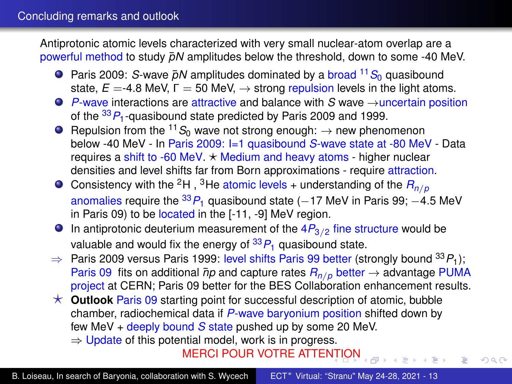Antiprotonic atomic levels characterized with very small nuclear-atom overlap are a powerful method to study  $\bar{p}N$  amplitudes below the threshold, down to some -40 MeV.

- **Paris 2009:** *S***-wave**  $\bar{p}N$  amplitudes dominated by a broad <sup>11</sup> S<sub>0</sub> quasibound state,  $E = -4.8$  MeV,  $\Gamma = 50$  MeV,  $\rightarrow$  strong repulsion levels in the light atoms.
- *P*-wave interactions are attractive and balance with *S* wave →uncertain position of the <sup>33</sup>*P*1-quasibound state predicted by Paris 2009 and 1999.
- **O** Repulsion from the <sup>11</sup> $S_0$  wave not strong enough:  $\rightarrow$  new phenomenon below -40 MeV - In Paris 2009: I=1 quasibound *S*-wave state at -80 MeV - Data requires a shift to -60 MeV.  $\star$  Medium and heavy atoms - higher nuclear densities and level shifts far from Born approximations - require attraction.
- **O** Consistency with the <sup>2</sup>H, <sup>3</sup>He atomic levels + understanding of the  $R_{n/p}$ anomalies require the  ${}^{33}P_1$  quasibound state (−17 MeV in Paris 99; −4.5 MeV in Paris 09) to be located in the [-11, -9] MeV region.
- **In antiprotonic deuterium measurement of the**  $4P_{3/2}$  **fine structure would be** valuable and would fix the energy of  $^{33}P_1$  quasibound state.
- ⇒ Paris 2009 versus Paris 1999: level shifts Paris 99 better (strongly bound <sup>33</sup>*P*1); Paris 09 fits on additional  $\bar{p}p$  and capture rates  $R_{n/p}$  better  $\rightarrow$  advantage PUMA project at CERN; Paris 09 better for the BES Collaboration enhancement results.
- $\star$  **Outlook** Paris 09 starting point for successful description of atomic, bubble chamber, radiochemical data if *P*-wave baryonium position shifted down by few MeV + deeply bound *S* state pushed up by some 20 MeV.  $\Rightarrow$  Update of this potential model, work is in progress.

MERCI POUR VOTRE ATTE[NTI](#page-11-0)[ON](#page-13-0)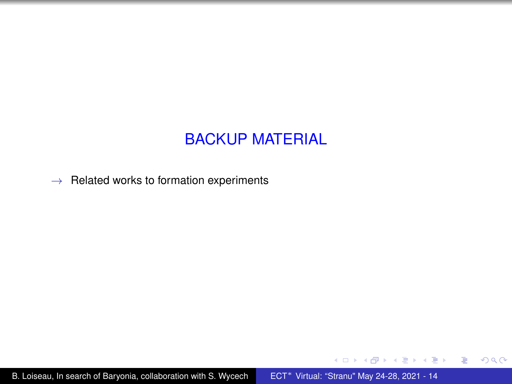# BACKUP MATERIAL

<span id="page-13-0"></span> $\rightarrow$  Related works to formation experiments

B. Loiseau, In search of Baryonia, collaboration with S. Wycech ECT<sup>∗</sup> [Virtual: "Stranu" May 24-28, 2021 - 14](#page-0-0)

K ロ ▶ K @ ▶ K 할 ▶ K 할 ▶ 이 할 → ⊙ Q @